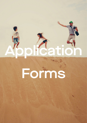

# Forms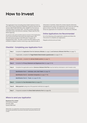# How to Invest

This Application Form (including Direct Debit Authority Form) is part of the Product Disclosure Statement issued by Centuria Life Limited (ABN 79 087 649 054) (AFSL 230867) for the Centuria LifeGoals dated 15 October 2021. The PDS contains important information about the Centuria LifeGoals. Please read the PDS before applying.

Any person who gives another person access to this Application Form must at the same time and by the same means, give the other person access to the PDS (and, if issued, any Supplementary PDS). The offer to which the PDS relates is only available to eligible investors receiving a copy (electronically or

otherwise) in Australia. Unless the context requires otherwise, capitalised terms used in this Application Form have the meaning given to them in the PDS. We reserve the right to accept or refuse any application for investment in the Centuria LifeGoals.

# Online Applications Are Recommended

Go to the following online application website and follow the instructions to complete your application:

lifegoals.centuria.com.au/invest

| Step 1: | Complete the Application Form for Centuria LifeGoals (on page 3) and Centuria LifeGoals Child Plan (on page 11).   |
|---------|--------------------------------------------------------------------------------------------------------------------|
|         | If applicable, complete the Target Market Determination questionnaire (on page 12-13).                             |
| Step 2: | If applicable, complete the Adviser Details section (on page 11).                                                  |
| Step 3: | Complete the Privacy Statement and Signatures form (on page 13-14).                                                |
| Step 4: | Complete the applicable section (Centuria LifeGoals Child Plan must be held by Individual or Joint Investor only). |
|         | Identification Form 1 - Individual, Joint, Sole Trader (on page 15).                                               |
|         | Identification Form 2 - Australian Companies (on page 17-19).                                                      |
|         | Identification Form 3 - Trusts (on page 20-26).                                                                    |
| Step 5: | Complete the Tax Information Form (on page 27).                                                                    |
| Step 6: | Make payment using one of the payment methods (on page 2).                                                         |
| Step 7: | If required complete the Direct Debit Authority Form (on page 28).                                                 |

1

# Checklist - Completing your Application Form

# Where to send your Application

Boardroom Pty Limited C/O Centuria Investor GPO Box 3993 Sydney NSW 2001

*Please Note: Your Application cannot be processed until your payment and the required identification documents have been received by Centuria Life Limited.*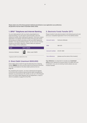Please select one of the three payment methods and indicate on your application your preference. All payments must be made in Australian dollars (AUD).

## **1. BPAY® Telephone and Internet Banking**

You can make payment with your bank using telephone or internet banking. You will need to quote the biller code and reference number when making your payment. Once your original application is accepted, Centuria Investor Services will contact you by phone or email to provide you with your BPAY Reference Number. If you are an existing investor, you can use your Investor Number as your BPAY reference. Please make your payment within 14 days of this notification.

| Fund               | <b>BPAY</b> details |                    |  |  |  |  |
|--------------------|---------------------|--------------------|--|--|--|--|
| Centuria LifeGoals | =<br><b>PAY</b>     | Biller code 315879 |  |  |  |  |

® Registered to BPAY Pty Ltd ABN 69 079 137 518

# 2. Direct Debit (maximum \$500,000)

Direct debit will be made through the Bulk Electronic Clearing System **(BECS)** from your account held at the financial institution you have nominated on the direct debit authority form on page 26.

By completing this section, you have understood and agreed to the terms and conditions governing the debit arrangements between you and Centuria Life Limited, as set out in this Request and in your Direct Debit Request Service Agreement, a copy of which is available on page 55 of the PDS.

# 3. Electronic Funds Transfer (EFT)

Please transfer funds electronically to the following account and send your completed Application Form to the address below.

| Account name:                                              | Centuria LifeGoals                    |  |  |  |
|------------------------------------------------------------|---------------------------------------|--|--|--|
| BSB:                                                       | 082-001                               |  |  |  |
| Account number: 23-231-3591                                |                                       |  |  |  |
| Your reference:                                            | [please use the name of the investor] |  |  |  |
| Your reference: It is important to include your investment |                                       |  |  |  |

entity as your reference to ensure there is no delay with your investment. If you are an existing investor please use your Investor Number.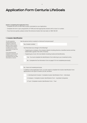#### Guide to completing this Application Form.

- Complete the form for each New Investor nominated on your Application.
- Complete the form in pen using BLOCK LETTERS and mark appropriate answers with a cross X or number.
- If you have any queries, please contact the Centuria Investor Services team on 1800 182 257.

## **1. Investor Identification**

*The AML legislation requires Centuria Life Limited to confirm the identity of each Investor. If Centuria Life Limited is not able to do so, it may not be able to accept your Application.*

*If you have previously invested in a Centuria Life Limited product or fund, we already have your AML information on record.*

Has the person/entity invested in a Centuria Fund previously?

Yes, Investor number:

Has there been any change to the following?

- If applying as a company, the company details including directors, benefical owners and key stakeholders (greater than 25% of shares).
- If applying as a trust, the trust details including trustee and beneficiaries.

Yes - You must complete the Identification Form referring to your investment entity.

No - Complete the Tax Information Form on page 27 (if not completed previously).

No, I have not invested previously.

In addition to this Application Form, you also need to complete the Investor Identification Form appropriate to the type of investor you are, as below.

1. Individual/Joint Investor > Complete Investor Identification Form – Individuals

2. Company > Complete Investor Identification Form – Australian Companies

3. Trust > Complete Investor Identification Form – Trust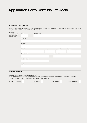## **2. Investment Entity Details**

The below Investment Entity will be the noted holder on all statements and correspondence. If no Life Insured is noted on page 8, the entity named here is the Primary Investor and Life Insured.

| These contact<br>details will be used<br>for all investment | Title        | Given name(s) |       |            |         |
|-------------------------------------------------------------|--------------|---------------|-------|------------|---------|
| correspondence.                                             | Surname      |               |       |            |         |
|                                                             |              |               |       |            |         |
|                                                             | Address      |               |       |            |         |
|                                                             |              |               |       |            |         |
|                                                             | Suburb       |               | State | Postcode   | Country |
|                                                             |              |               |       |            |         |
|                                                             | Work phone   |               |       | Home phone |         |
|                                                             |              |               |       |            |         |
|                                                             | Mobile phone |               |       |            |         |
|                                                             |              |               |       |            |         |
|                                                             | Email        |               |       |            |         |
|                                                             |              |               |       |            |         |
|                                                             |              |               |       |            |         |

## **3. Investor Contact**

#### Authority to instruct Centuria (joint applicants only)

Please select which joint applicants have authority to instruct on the investment and bind the other joint investor(s) for future transactions (including additional investments, switches and withdrawals).

| All Applicants (default) | Applicant 1 | Applicant 2 | Either Applicant |
|--------------------------|-------------|-------------|------------------|
|--------------------------|-------------|-------------|------------------|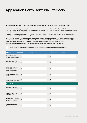#### **4. Investment Options -** Initial and Regular Investment Plan (minimum initial investment \$500)

IMPORTANT: The LifeGoals product requires you to select your own investment options that best fit your risk tolerances and objectives. The risk profile, investment objectives and strategy of each of the underlying investment options (the Investment Option Features) can be found on page 23 to 30 of the PDS.

It is important that you read and understand the risk profile of each underlying option and are comfortable that they are suitable for you particular financial situation, needs and objectives.

Where you have selected a sector specific fund (e.g. a fund investing in Australian Shares only), you should give consideration diversifying you investment across multiple investment choices within the LifeGoals menu or otherwise across your investable assets held outside of this product, particularly where these funds also have a risk level of High or Very High.

If you require any further information on any of the investment options, please contact us on 1300 50 50 50.

By ticking this box, you acknowledge that you have read and understood the Investment Options features.

| Cash and Fixed Interest Funds                                                 |                                               | <b>Initial Investment Amount</b> | <b>Regular Investment Amount</b>              |
|-------------------------------------------------------------------------------|-----------------------------------------------|----------------------------------|-----------------------------------------------|
| <b>Pendal Short Term</b><br><b>Income Securities Fund</b>                     | $\textcircled{\scriptsize\textsf{t}}$         |                                  | $\, \, \varphi$                               |
| Vanguard Australian<br><b>Fixed Interest Index Fund</b>                       | $\mathfrak{P}$                                |                                  | \$                                            |
| <b>BetaShares Australian</b><br><b>Investment Grade</b><br>Corporate Bond ETF | $\, \, \raisebox{12pt}{$\scriptstyle \circ$}$ |                                  | \$                                            |
| Pimco Australian Bond<br>Fund                                                 | $\mathcal{L}$                                 |                                  | \$                                            |
| Pimco Global Bond Fund                                                        | \$                                            |                                  | \$                                            |
| <b>Diversified Balanced Funds</b>                                             |                                               |                                  |                                               |
| Vanguard Diversified<br><b>Balanced Index Fund</b>                            | $$\mathbb{S}$$                                |                                  | \$                                            |
| <b>Russell Investments</b><br><b>Balanced Fund</b>                            | $\, \, \raisebox{12pt}{$\scriptstyle \circ$}$ |                                  | \$                                            |
| <b>MLC Wholesale Horizon</b><br>4 Balanced Portfolio                          | $\mathfrak{P}$                                |                                  | \$                                            |
| <b>Pendal Sustainable</b><br><b>Balanced Fund</b>                             | $\, \, \raisebox{12pt}{$\scriptstyle \circ$}$ |                                  | $\, \, \raisebox{12pt}{$\scriptstyle \circ$}$ |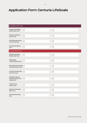| <b>Diversified Growth Funds</b>                                    |                                               |                                               |
|--------------------------------------------------------------------|-----------------------------------------------|-----------------------------------------------|
| Vanguard Diversified<br>Growth Index Fund                          | $\, \, \raisebox{12pt}{$\scriptstyle \circ$}$ | $\, \, \Phi$                                  |
| <b>Russell Investments</b><br><b>Growth Fund</b>                   | $\mathbb{S}$                                  | $\, \, \oplus$                                |
| MLC Wholesale Horizon<br>5 Growth Portfolio                        | $\, \, \raisebox{12pt}{$\scriptstyle \circ$}$ | $\, \, \raisebox{12pt}{$\scriptstyle \circ$}$ |
| Schroder Real Return<br>Fund                                       | $\, \, \mathbb{S} \,$                         | $\, \, \oplus$                                |
| <b>Australian Share Funds</b>                                      |                                               |                                               |
| Vanguard Australian<br>Shares Index Fund                           | $\mathbb{S}$                                  | $\, \, \raisebox{12pt}{$\scriptstyle \circ$}$ |
| <b>AB Managed</b><br><b>Volatility Equities Fund</b>               | $\, \, \raisebox{12pt}{$\scriptstyle \circ$}$ | $\, \, \clubsuit$                             |
| Bennelong Concentrated \$<br>Australian Equities Fund              |                                               | $\, \, \clubsuit$                             |
| Firetrail Australian High<br><b>Conviction Fund</b>                | $\, \, \mathbb{S} \,$                         | $\, \, \oplus$                                |
| <b>BetaShares Geared</b><br>Australian Equity Fund<br>(hedge fund) | $\, \, \raisebox{12pt}{$\scriptstyle \circ$}$ | $\, \, \clubsuit$                             |
| <b>Fidelity Future</b><br><b>Leaders Fund</b>                      | $\, \, \raisebox{12pt}{$\scriptstyle \circ$}$ | $\, \, \clubsuit$                             |
| <b>Alphinity Sustainable</b><br>Share Fund                         | $\mathfrak{P}$                                | $\, \, \oplus$                                |
| Greencape Broadcap<br>Fund                                         | $\, \, \raisebox{12pt}{$\scriptstyle \circ$}$ | $\, \, \clubsuit$                             |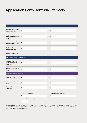| <b>International Share Funds</b>                                       |                                                                                   |                                                   |
|------------------------------------------------------------------------|-----------------------------------------------------------------------------------|---------------------------------------------------|
| Vanguard International<br>Shares Index Fund                            | $\mathfrak{P}$                                                                    | $\, \, \raisebox{12pt}{$\scriptstyle \circ$}$     |
| Vanguard International<br>Small Companies Index<br>Fund                | $\mathfrak{P}$                                                                    | $\, \, \raisebox{12pt}{$\scriptstyle \circ$}$     |
| <b>Walter Scott Global</b><br>Equity Fund (Unhedged)                   | $\, \, \mathbb{S} \,$                                                             | $\, \, \raisebox{-1.5pt}{\text{\circle*{1.5}}}\,$ |
| T. Rowe Price<br><b>Global Equity Fund</b>                             | $\mathfrak{P}$                                                                    | $\mathbb{S}$                                      |
| Magellan Global Fund                                                   |                                                                                   |                                                   |
| Property and Infrastructure Funds                                      |                                                                                   |                                                   |
| Vanguard Australian<br><b>Property Securities</b><br><b>Index Fund</b> | $\mathfrak{P}$                                                                    | $\, \, \raisebox{12pt}{$\scriptstyle \circ$}$     |
| Magellan Infrastructure<br>Fund                                        | $\mathbb{S}$                                                                      | $\, \, \raisebox{12pt}{$\scriptstyle \circ$}$     |
| Centuria Multi-Manager Funds                                           |                                                                                   |                                                   |
| Centuria Balanced Fund                                                 | $\mathfrak{P}$                                                                    | $\, \, \raisebox{-1.5pt}{\text{\circle*{1.5}}}\,$ |
| Centuria Growth Bond<br>Fund                                           | $\mathfrak{P}$                                                                    | $\mathbb{S}$                                      |
| Centuria Australian<br><b>Shares Fund</b>                              | $\mathfrak{P}$                                                                    | $\, \, \raisebox{12pt}{$\scriptstyle \circ$}$     |
|                                                                        | <b>Total Initial Investment</b><br>$\mathfrak{P}$<br>Nominal term: (min 10 years) | <b>Total Regular Investment</b><br>\$             |

You can nominate any term between 10 and 40 years. Regardless of the nominated period you can access your funds at anytime and your investment can continue after the term. If you leave this blank you will default to a 40 year term to give you maximum flexibility. See page 15 of the PDS for more details.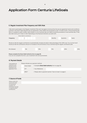## **5. Regular Investment Plan Frequency and 125% Rule**

I/We wish to participate in the Regular Investment Plan and I/we agree to be bound by the service agreement terms and conditions outlined in the Direct Debit Request Service Agreement. Direct debits are processed on day 17 of each month. If the processing day falls on a weekend, public holiday, state holiday or a non-business day your debits would be processed on next business day. It may also take funds up to 3 days to clear depending on the financial institution you bank with.

|                                                       |                                                                                                                                         | Direct debit to commence             |  |                                                                                                                                                                                                                                                             |  |         |  |           |        |  |     |
|-------------------------------------------------------|-----------------------------------------------------------------------------------------------------------------------------------------|--------------------------------------|--|-------------------------------------------------------------------------------------------------------------------------------------------------------------------------------------------------------------------------------------------------------------|--|---------|--|-----------|--------|--|-----|
| Frequency                                             |                                                                                                                                         |                                      |  |                                                                                                                                                                                                                                                             |  | Monthly |  | Quarterly | Yearly |  |     |
|                                                       |                                                                                                                                         |                                      |  | Would you like the regular contribution to automatically increase annually to take advantage of the 125% rule. If so, by how much<br>would you like the contribution amount to increase on the anniversary of you commencing the regular contribution plan. |  |         |  |           |        |  |     |
| 0% (Default)                                          |                                                                                                                                         | 5%                                   |  | 10%                                                                                                                                                                                                                                                         |  | 15%     |  | 20%       |        |  | 25% |
|                                                       | Please complete the Direct Debit Authority form on page 26.<br>If you do not complete this form, your investment will not be processed. |                                      |  |                                                                                                                                                                                                                                                             |  |         |  |           |        |  |     |
| <b>6. Payment Details</b>                             |                                                                                                                                         |                                      |  |                                                                                                                                                                                                                                                             |  |         |  |           |        |  |     |
| These details are                                     |                                                                                                                                         | Please indicate your payment method: |  |                                                                                                                                                                                                                                                             |  |         |  |           |        |  |     |
| required so your<br>payment can be<br>matched to your | > Complete Direct Debit Authority form on page 28.<br><b>Direct Debit</b>                                                               |                                      |  |                                                                                                                                                                                                                                                             |  |         |  |           |        |  |     |
| Application Form.                                     |                                                                                                                                         | <b>EFT</b>                           |  | > Your Reference                                                                                                                                                                                                                                            |  |         |  |           |        |  |     |
|                                                       |                                                                                                                                         | $BPAY^*$                             |  | > Please refer to payment section 'How to Invest' on page 2.                                                                                                                                                                                                |  |         |  |           |        |  |     |

## **7. Source of Funds**

*Please confirm the source and origin of funds being invested. e.g. Inheritance, savings or superannuation contributions.*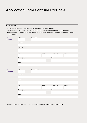## **8. Life insured**

- If no Life Insured is nominated, it will default to the Investment Entity named on page 4.
- If you are completing the Centuria LifeGoals Child Plan on page 11 the nominated child must be the only life insured.
- Once the life insured is selected it cannot be changed, however you can add additional Life Insured to the policy during the the nominated term.

| LIFE             | Title       | Given name(s) |       |        |          |         |
|------------------|-------------|---------------|-------|--------|----------|---------|
| <b>INSURED 1</b> |             |               |       |        |          |         |
|                  | Surname     |               |       |        |          |         |
|                  |             |               |       |        |          |         |
|                  | Address     |               |       |        |          |         |
|                  |             |               |       |        |          |         |
|                  | Suburb      |               | State |        | Postcode | Country |
|                  |             |               |       |        |          |         |
|                  | Phone (Day) |               |       | Mobile |          |         |
|                  |             |               |       |        |          |         |
|                  | Email       |               |       |        |          |         |
|                  |             |               |       |        |          |         |
| LIFE.            | Title       | Given name(s) |       |        |          |         |
| <b>INSURED 2</b> |             |               |       |        |          |         |
|                  | Surname     |               |       |        |          |         |
|                  |             |               |       |        |          |         |
|                  | Address     |               |       |        |          |         |
|                  |             |               |       |        |          |         |
|                  | Suburb      |               | State |        | Postcode | Country |
|                  |             |               |       |        |          |         |
|                  | Phone (Day) |               |       | Mobile |          |         |
|                  | Email       |               |       |        |          |         |
|                  |             |               |       |        |          |         |
|                  |             |               |       |        |          |         |

If you have additional Life Insured to nominate, please contact **Centuria Investor Services on 1800 182 257**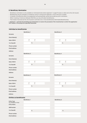## **9. Beneficiary Nomination**

- Beneficiary nomination is only available on individual bonds where Applicant 1 is aged 16 years or older and is the Life Insured.
- Beneficiaries may be changed or revoked by notice in writing from Applicant 1 at any time prior to death.
- A transfer of the Bond by way of an assignment will automatically cancel and revoke any prior nomination.
- When investing in Centuria LifeGoals Child Plan you may still select beneficiaries.
- The Investor must also be the Life Insured to nominate one or more beneficiaries (Nominated Beneficiaries).

I, Applicant 1, nominate the beneficiary(s) listed below to receive the proceeds of the investment(s) to which this application form relates in the proportion specified hereunder.

| Individual as beneficiaries |                                                      |                                                      |  |  |  |  |  |
|-----------------------------|------------------------------------------------------|------------------------------------------------------|--|--|--|--|--|
|                             | Beneficiary 1                                        | Beneficiary 2                                        |  |  |  |  |  |
| Surname                     |                                                      |                                                      |  |  |  |  |  |
| Given Name(s)               |                                                      |                                                      |  |  |  |  |  |
| Date of Birth               | $\overline{\phantom{a}}$<br>$\overline{\phantom{a}}$ | $\overline{\phantom{a}}$<br>$\overline{\phantom{a}}$ |  |  |  |  |  |
| % of benefit                | $\%$                                                 | $\%$                                                 |  |  |  |  |  |
| Phone number                |                                                      |                                                      |  |  |  |  |  |
| Email address               |                                                      |                                                      |  |  |  |  |  |
| <b>Address</b>              |                                                      |                                                      |  |  |  |  |  |
|                             | Beneficiary 3                                        | Beneficiary 4                                        |  |  |  |  |  |
| Surname                     |                                                      |                                                      |  |  |  |  |  |
| Given Name(s)               |                                                      |                                                      |  |  |  |  |  |
| Date of Birth               | $\overline{\phantom{a}}$<br>$\overline{\phantom{a}}$ | $\overline{\phantom{a}}$<br>$\overline{\phantom{a}}$ |  |  |  |  |  |
| % of benefit                | $\%$                                                 | $\%$                                                 |  |  |  |  |  |
| Phone number                |                                                      |                                                      |  |  |  |  |  |
| Email address               |                                                      |                                                      |  |  |  |  |  |
| Address                     |                                                      |                                                      |  |  |  |  |  |
|                             | Beneficiary 5                                        | Beneficiary 6                                        |  |  |  |  |  |
| Surname                     |                                                      |                                                      |  |  |  |  |  |
| Given Name(s)               |                                                      |                                                      |  |  |  |  |  |
| Date of Birth               | $\overline{\phantom{a}}$<br>$\overline{\phantom{a}}$ | $\overline{\phantom{a}}$<br>$\sqrt{ }$               |  |  |  |  |  |
| % of benefit                | $\%$                                                 | $\%$                                                 |  |  |  |  |  |
| Phone number                |                                                      |                                                      |  |  |  |  |  |
| Email address               |                                                      |                                                      |  |  |  |  |  |
| <b>Address</b>              |                                                      |                                                      |  |  |  |  |  |

## **Entities as beneficiaries**

|                                             | <b>Beneficiary 1</b> |   | <b>Beneficiary 2</b> |   |
|---------------------------------------------|----------------------|---|----------------------|---|
| <b>Entity Type</b><br>e.g. Company or Trust |                      |   |                      |   |
| <b>Entity Name</b>                          |                      |   |                      |   |
| <b>ABN Number</b>                           |                      |   |                      |   |
| % of benefit                                |                      | % |                      | % |
| Phone number                                |                      |   |                      |   |
| Email address                               |                      |   |                      |   |

| Beneficiary 2 |   |  |  |
|---------------|---|--|--|
|               |   |  |  |
|               |   |  |  |
|               |   |  |  |
|               | % |  |  |
|               |   |  |  |
|               |   |  |  |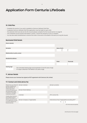# **10. Child Plan**

- Complete this section if you wish to establish a Centuria LifeGoals Child Plan.
- A separate Centuria LifeGoals Child Plan application must be made for each child.
- The selected child must also be the life insured (please complete the life insured section on page 9)
- The investment can be owned individually or jointly, it cannot be owned by a trust or company.
- You may also select beneficiaries to receive the funds in the event of the death of the last surviving life insured.

| <b>Nominated Child Details</b> |                                                                                                                                |               |          |
|--------------------------------|--------------------------------------------------------------------------------------------------------------------------------|---------------|----------|
| Given name(s)                  |                                                                                                                                |               |          |
|                                |                                                                                                                                |               |          |
| Surname                        |                                                                                                                                | Date of birth |          |
|                                |                                                                                                                                |               |          |
| Relationship to policy owner   |                                                                                                                                |               |          |
|                                |                                                                                                                                |               |          |
| <b>Residential address</b>     |                                                                                                                                |               |          |
|                                |                                                                                                                                | State         | Postcode |
|                                |                                                                                                                                |               |          |
| <b>Vesting Age</b>             |                                                                                                                                |               |          |
|                                | The nominated Vesting Age must be between 10 and 25 years of age.<br>If no age is selected it will default to 25 years of age. |               |          |

# **11. Adviser Details**

Please ensure your licensee has signed an RCTI agreement with Centuria Life Limited.

#### **11.1 Contact and initial advice fee**

| Please have your financial Adviser name(s)<br>adviser complete and<br>sign this Section, to<br>confirm they hold a<br>current AFS licence and |                                 | Adviser surname                                   |                                  |
|-----------------------------------------------------------------------------------------------------------------------------------------------|---------------------------------|---------------------------------------------------|----------------------------------|
|                                                                                                                                               | Adviser Email Address           |                                                   |                                  |
| are authorised to deal<br>or advise on managed                                                                                                |                                 |                                                   |                                  |
| investment products.                                                                                                                          | Licensee                        | AFS Licence No.                                   |                                  |
| I hereby direct Centuria<br>Life Limited to pay an                                                                                            |                                 |                                                   |                                  |
| adviser service fee, out<br>of my application monies<br>on my/our behalf to my<br>financial adviser.                                          | Adviser Company (if applicable) | Initial Advice Fee (if applicable) excluding GST* |                                  |
|                                                                                                                                               |                                 | %                                                 | \$                               |
|                                                                                                                                               |                                 |                                                   | *GST will be deducted separately |

*(Continued on the next page)*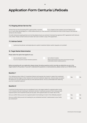#### **11.2 Ongoing Adviser Service Fee**

Adviser Service Fee (Excluding GST & paid monthly in arrears) % p.a. based on the investors account balance or \$ p.a. or such other percentage p.a. or other dollar amount p.a. that Centuria is instructed from time to time to pay to the financial adviser by the Investor.

For both initial and ongoing adviser service fee please ensure your adviser's licensee has signed an RCTI agreement with Centuria Life Limited. Please contact Centuria Investor Services to obtain a copy of the agreement.

## **11.3 Adviser Switch**

I authorise the adviser nominated above to submit investment Option switch requests on my behalf.

#### **12. Target Market Determination**

Please select the option that applies for you.

I am an advised investor. *You are not required to answer the below questions.* I am a direct investor. *Please read the below instructions and answer the target market determination related questions.*

Before proceeding with your application please answer the below questions which may help you determine you are in the target market for this product. If you don't understand the questions or need assistance, please contact us on 1300 50 50 50.

#### **Question 1**

The LifeGoals product offers 31 Investment Options and requires the investor to select the investment option(s) that best aligns to their tolerance for risk and investment objectives. Centuria does not select the options for you and cannot provide you with personal advice. Are you comfortable with selecting your own investment options?

Yes No

## **Question 2**

Investment bonds products are not considered to be in the target market for superannuation funds or for investors who are investing for retirement and don't need early access to their money as both superannuation and investment bonds are tax paid, with superannuation at a lower rate of 15%.

Can you confirm that you are not a superannuation fund looking to invest in the LifeGoals product?

Can you confirm that you are not investing for your retirement and don't need access to your funds pre-retirement?

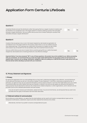| <b>Question 3</b>                                                                                                                                                                                                                                                                                                                                                                                       |            |           |
|---------------------------------------------------------------------------------------------------------------------------------------------------------------------------------------------------------------------------------------------------------------------------------------------------------------------------------------------------------------------------------------------------------|------------|-----------|
| Investment Bonds reinvest the distribution rather than paying them as a regular income to investors and<br>are therefore not considered to be in the target market for investors seeking a product that calculates<br>and pays a regular distribution. Can you confirm that you are not an investor looking for a product that<br>calculates and pays a regular distribution?                           | <b>Yes</b> | <b>No</b> |
| <b>Question 4</b>                                                                                                                                                                                                                                                                                                                                                                                       |            |           |
| Investors that are paying no tax or are in the lowest marginal tax rate bracket are generally not<br>considered to be in the target market for this product unless there is a non tax related outcome<br>(e.g. estate planning). This is because tax is paid within the product at a higher tax rate of 30%<br>and investors may not benefit from the tax benefits under the investment bond structure. |            |           |
| Can you confirm that you are not an investor that is currently paying 0% tax or within the lowest<br>marginal tax rate bracket and is investing primarily for a tax effective strategy?                                                                                                                                                                                                                 | <b>Yes</b> | <b>No</b> |

Important Notice: If you have answered "NO" to any of these questions, this product may not be suitable for you. Before proceeding with your investment, we recommend that you review the target market determination for the product which can be found on our website https://centuria.com.au/design-distribution-obligations-ddo/or by calling us on 1300 50 50 50 and/or seek advice from your financial adviser before deciding to proceed with your investment.

## **13. Privacy Statement and Signatures**

## **1. Privacy**

By signing this application form you acknowledge that you have read, understood and agree to the collection, use and disclosure of your personal information as set out in the section headed 'Privacy Statement' in the PDS or otherwise as required by law. In particular, you agree we may use your personal information to tell you about products or services that might better serve your needs or promotions about any other matters that may be of benefit or interest to you and you also agree your personal information for these purposes may be disclosed to Centuria Life Limited and its related companies, to other organisations, and to relevant service providers (such as the LifeGoals administrator and mail houses).

If you do not want to receive such information, please tick here. If you do not tick the box, we will assume that you want to be provided with the types of information that have been described.

## **2. Preferred method of communication**

By providing your email address, you agree that this email address can be used for all investor correspondence types such as transaction confirmations, statements, reports and other material from Centuria Life Limited.

Alternatively, tick here if you prefer to receive correspondence by post.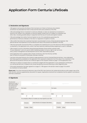#### **3. Declaration and Signatures**

- I/We agree to be bound by the Rules of the Fund (set out in Rule A of Centuria Life Limited's Constitution as amended from time to time) and the terms and conditions of the PDS.
- I/We acknowledge that an investment in Centuria LifeGoals: (i) does not represent an investment in Centuria Life Limited or any subsidiary of Centuria Capital Limited; and (ii) is subject to investment and other risks, including possible delays in repayment and the loss of income and capital invested.
- I/We acknowledge that neither Centuria Capital nor any of its subsidiaries guarantees the performance of Centuria LifeGoals or the return or repayment of capital or income.
- I/We confirm that where the investment has been recommended to me by a financial planner/adviser, that planner/adviser has explained to me the features and risks of the products as detailed in the PDS.
- I/We have personally received the PDS or a complete and unaltered print out of the electronic PDS accompanied by, or attached to, this application form, which I/we have read and understood before applying to invest in LifeGoals.
- I/We consent to my/our information being disclosed between those entities outlined under 'Privacy Statement', and to its use for direct marketing (subject to my/our right of opt-out at any time), product management and development and for other reasonable purposes.
- If this application form is signed under a Power of Attorney, then the Attorney certifies that no notice of revocation of that power has been received.
- I/we have instructed Centuria Life Limited to make payments to my/our licensed financial adviser. I/we understand that these payments as detailed on the application form represent a deduction from the value of my investment in the Bond and will be paid by Centuria Life Limited as agent of the recipient named on page 11 of the application form.
- I/We have no reason to suspect that our contribution lodged with this Application or any subsequent contributions is or will be derived from or related to any money laundering, terrorism financing or other illegal activities.
- If the switch declaration has been agreed to on page 12. I/We agree to the adviser noted on page 12 to switch my invetment on my/our behalf.

Please note: If you have received an electronic copy of the PDS, then Centuria Life Limited will provide you with a paper copy of the PDS, this form, and any supplementary document on request. Applications received from companies must be signed in accordance with their constitution.

#### **4. Signatures**

| All authorised<br>signatories to sign. If<br>any to sign is ticked,<br>this will authorise<br>any signatory to<br>operate the account<br>in the future. |           | Signature A                                                 |           |                 |       | Signature B              |  |
|---------------------------------------------------------------------------------------------------------------------------------------------------------|-----------|-------------------------------------------------------------|-----------|-----------------|-------|--------------------------|--|
|                                                                                                                                                         | Full name |                                                             | Full name |                 |       |                          |  |
|                                                                                                                                                         |           |                                                             |           |                 |       |                          |  |
|                                                                                                                                                         | Date      |                                                             | Date      |                 |       |                          |  |
|                                                                                                                                                         |           |                                                             |           |                 |       |                          |  |
|                                                                                                                                                         |           | If a company officer or trustee you must specify your title |           |                 |       |                          |  |
|                                                                                                                                                         | Director  | Sole Director & Company Secretary                           |           | <b>Director</b> |       | <b>Company Secretary</b> |  |
|                                                                                                                                                         |           |                                                             |           |                 |       |                          |  |
|                                                                                                                                                         | Trustee   | Other                                                       |           | Trustee         | Other |                          |  |
|                                                                                                                                                         |           |                                                             |           |                 |       |                          |  |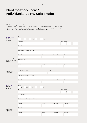# Identification Form 1 Individuals, Joint, Sole Trader

## Guide to completing this Application Form.

- Complete this form if your Investment Entity nominated on page 4 is an Individual, Joint or Sole Trader.
- Complete the form in pen using block letters and mark appropriate answers with a cross X or number
- Any queries please contact the Centuria Investor Services team on **1800 182 257**.

| <b>INVESTOR 1</b><br>(PERSONAL<br>DETAILS)                  | Title<br>Mr                        | Ms | <b>Mrs</b> | Dr | Miss        |     |          |                          |                          |
|-------------------------------------------------------------|------------------------------------|----|------------|----|-------------|-----|----------|--------------------------|--------------------------|
|                                                             | Surname                            |    |            |    |             |     |          | Date of birth            |                          |
|                                                             |                                    |    |            |    |             |     |          | $\overline{\phantom{a}}$ | $\sqrt{\phantom{a}}$     |
|                                                             | First Name(s)                      |    |            |    |             |     |          |                          |                          |
|                                                             | Residential address (Not a PO Box) |    |            |    |             |     |          |                          |                          |
|                                                             | Suburb                             |    |            |    | State       |     | Postcode | Country                  |                          |
|                                                             |                                    |    |            |    |             |     |          |                          |                          |
| Postal address (if<br>different to residential<br>address). | Postal address                     |    |            |    |             |     |          |                          |                          |
|                                                             | Suburb                             |    |            |    | State       |     | Postcode | Country                  |                          |
|                                                             |                                    |    |            |    |             |     |          |                          |                          |
|                                                             |                                    |    |            |    |             |     |          |                          |                          |
| Complete if you are<br>a sole trader.                       | Full business name                 |    |            |    |             | ABN |          |                          |                          |
|                                                             | Business address (Not a PO Box)    |    |            |    |             |     |          |                          |                          |
|                                                             |                                    |    |            |    |             |     |          |                          |                          |
|                                                             | Suburb                             |    |            |    | State       |     | Postcode | Country                  |                          |
|                                                             |                                    |    |            |    |             |     |          |                          |                          |
| <b>INVESTOR 2</b>                                           | Title                              |    |            |    |             |     |          |                          |                          |
| (PERSONAL<br>DETAILS)                                       | Mr                                 | Ms | Mrs        | Dr | <b>Miss</b> |     |          |                          |                          |
|                                                             | Surname                            |    |            |    |             |     |          | Date of birth            |                          |
|                                                             |                                    |    |            |    |             |     |          | $\overline{\phantom{a}}$ | $\overline{\phantom{a}}$ |
|                                                             | First Name(s)                      |    |            |    |             |     |          |                          |                          |
|                                                             | Residential address (Not a PO Box) |    |            |    |             |     |          |                          |                          |
|                                                             |                                    |    |            |    |             |     |          |                          |                          |
|                                                             | Suburb                             |    |            |    | State       |     | Postcode | Country                  |                          |
|                                                             |                                    |    |            |    |             |     |          |                          |                          |
| Postal address                                              | Postal address                     |    |            |    |             |     |          |                          |                          |
| (if different to<br>residential address).                   |                                    |    |            |    |             |     |          |                          |                          |
|                                                             | Suburb                             |    |            |    | State       |     | Postcode | Country                  |                          |
|                                                             |                                    |    |            |    |             |     |          |                          |                          |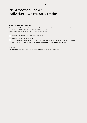# Identification Form 1 Individuals, Joint, Sole Trader

#### **Required identification documents**

(Minimum age for joint bond owners is 10 years. Where a bond owner is below 16 years of age, we require the identification documents of the parent or guardian who completed section 4, above).

Note: Certified copies of identification can be mailed, scanned or faxed.

A certified copy of current Drivers Licence or Passport, **or**

A certified copy of Birth Certificate **and**

A Tax Assessment (less than 12 months old), council rates notice or utilities provider account (less than 3 months old).

For other acceptable forms of identification, please call our **Investor Services Team on 1800 182 257.**

#### IMPORTANT:

This Identification Form is now complete. Please proceed to the Tax Information Form on page 27.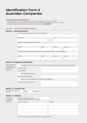# Identification Form 2 Australian Companies

#### Guide to completing this Application Form.

- Complete this form if your Investment Entity nominated on page 4 is an Australian Company.
- Complete the form in pen using BLOCK LETTERS and mark appropriate answers with a cross X or number.
- Any queries please contact the Centuria Investor Services team on **1800 182 257**

## SECTION 1 - AUSTRALIAN COMPANY DETAILS

| Section 1.1 - General Information |                                                                                              |       |            |         |  |  |  |  |
|-----------------------------------|----------------------------------------------------------------------------------------------|-------|------------|---------|--|--|--|--|
|                                   | Full name as registered by ASIC / Account designation                                        |       |            |         |  |  |  |  |
|                                   |                                                                                              |       |            |         |  |  |  |  |
|                                   | ACN / ABN                                                                                    |       | <b>TFN</b> |         |  |  |  |  |
|                                   |                                                                                              |       |            |         |  |  |  |  |
|                                   | Registered office address (Not a PO Box)                                                     |       |            |         |  |  |  |  |
|                                   |                                                                                              |       |            |         |  |  |  |  |
|                                   | Suburb                                                                                       | State | Postcode   | Country |  |  |  |  |
|                                   |                                                                                              |       |            |         |  |  |  |  |
|                                   | Principal place of business (if different from registered office) (PO Box is NOT acceptable) |       |            |         |  |  |  |  |
|                                   |                                                                                              |       |            |         |  |  |  |  |
|                                   | Suburb                                                                                       | State | Postcode   | Country |  |  |  |  |
|                                   |                                                                                              |       |            |         |  |  |  |  |
|                                   |                                                                                              |       |            |         |  |  |  |  |

## **Section 1.2 - Regulatory/Listing Details**

| Select any categories<br>which apply to the      | Regulated company (licensed by an Australian Commonwealth, State or Territory statutory regulator) |  |  |  |  |  |
|--------------------------------------------------|----------------------------------------------------------------------------------------------------|--|--|--|--|--|
| company and provide<br>the information           | Regulator name                                                                                     |  |  |  |  |  |
| requested.                                       | Licence details                                                                                    |  |  |  |  |  |
|                                                  | Australian listed company                                                                          |  |  |  |  |  |
|                                                  | Name of market/exchange                                                                            |  |  |  |  |  |
|                                                  | Majority-owned subsidiary of an Australian listed company                                          |  |  |  |  |  |
| Australian listed company name                   |                                                                                                    |  |  |  |  |  |
|                                                  |                                                                                                    |  |  |  |  |  |
| Section 1.3 - Company Type                       |                                                                                                    |  |  |  |  |  |
| Select ONE of the following<br>categories.       | Public<br>Proprietary                                                                              |  |  |  |  |  |
| <b>Section 1.4 - Directors</b>                   |                                                                                                    |  |  |  |  |  |
| Only needs to<br>be completed<br>for proprietary | How many directors are there?<br>Provide full name of each director below                          |  |  |  |  |  |
| companies.                                       | Full given name(s)<br>Surname                                                                      |  |  |  |  |  |
| 1.                                               |                                                                                                    |  |  |  |  |  |
| 2.                                               |                                                                                                    |  |  |  |  |  |
| 3.                                               |                                                                                                    |  |  |  |  |  |
| 4.                                               |                                                                                                    |  |  |  |  |  |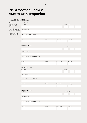# Identification Form 2 Australian Companies

#### **Section 1.5 - Beneficial Owners**

*Please provide the details for the individual(s) who ultimately own more than 25% of the company. If there aren't any, provide the name(s) of the individual(s) who directly or indirectly 'control' the company.* 

| <b>Beneficial Owner 1</b><br>Surname |       |          | Date of birth |                          |                          |
|--------------------------------------|-------|----------|---------------|--------------------------|--------------------------|
|                                      |       |          |               | $\sqrt{2}$               | $\overline{\phantom{a}}$ |
| First Name(s)                        |       |          |               |                          |                          |
|                                      |       |          |               |                          |                          |
| Residential address (Not a PO Box)   |       |          |               |                          |                          |
|                                      |       |          |               |                          |                          |
| Suburb                               | State | Postcode |               | Country                  |                          |
|                                      |       |          |               |                          |                          |
|                                      |       |          |               |                          |                          |
| <b>Beneficial Owner 2</b>            |       |          | Date of birth |                          |                          |
| Surname                              |       |          |               | $\overline{\phantom{a}}$ | $\prime$                 |
|                                      |       |          |               |                          |                          |
| First Name(s)                        |       |          |               |                          |                          |
|                                      |       |          |               |                          |                          |
| Residential address (Not a PO Box)   |       |          |               |                          |                          |
|                                      |       |          |               |                          |                          |
| Suburb                               | State | Postcode |               | Country                  |                          |
|                                      |       |          |               |                          |                          |
|                                      |       |          |               |                          |                          |
| <b>Beneficial Owner 3</b>            |       |          |               |                          |                          |
| Surname                              |       |          | Date of birth |                          |                          |
|                                      |       |          |               | $\overline{\phantom{a}}$ | $\prime$                 |
| First Name(s)                        |       |          |               |                          |                          |
|                                      |       |          |               |                          |                          |
| Residential address (Not a PO Box)   |       |          |               |                          |                          |
|                                      |       |          |               |                          |                          |
| Suburb                               | State | Postcode |               | Country                  |                          |
|                                      |       |          |               |                          |                          |
|                                      |       |          |               |                          |                          |
| <b>Beneficial Owner 4</b><br>Surname |       |          | Date of birth |                          |                          |
|                                      |       |          |               |                          | $\sqrt{\phantom{a}}$     |
|                                      |       |          |               | $\overline{\phantom{a}}$ |                          |
| First Name(s)                        |       |          |               |                          |                          |
| Residential address (Not a PO Box)   |       |          |               |                          |                          |
|                                      |       |          |               |                          |                          |
| Suburb                               |       |          |               |                          |                          |
|                                      | State | Postcode |               | Country                  |                          |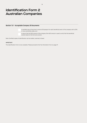# Identification Form 2 Australian Companies

## **Section 1.6 – Acceptable Company ID Documents**

A certified copy of the driver's licence OR passport for each beneficial owner of the company with a 25% or more ownership stake; and

A copy of the full ASIC extract of the company (the ASIC extract is used to verify that the beneficial owners listed on the form are correct).

Note: Certified copies of identification can be mailed, scanned or faxed.

#### IMPORTANT:

This Identification Form is now complete. Please proceed to the Tax Information Form on page 27.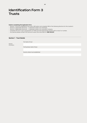#### **Guide to completing this Application Form.**

- Section 1 must be completed for all trusts; AND select and complete ONE of the following Sections for the trustee/s:
- Section 2 (applicable Sections) if selected trustee is an individual.
- Section 3 (applicable Sections) if selected trustee is an Australian Company.
- Complete the form in pen using BLOCK LETTERS and mark appropriate answers with a cross X or number.
- Any queries please contact the Centuria Investor Services team on **1800 182 257**.

## **Section 1 - Trust Details**

*General information.*

Full business name (if any)

Full name of trust

Country where trust established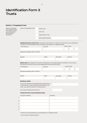| <b>Section 1.1 Unregulated Trusts</b>                                                                                          |                                                                                                       |                                                                                                                                                                                                    |          |                              |  |  |  |  |  |
|--------------------------------------------------------------------------------------------------------------------------------|-------------------------------------------------------------------------------------------------------|----------------------------------------------------------------------------------------------------------------------------------------------------------------------------------------------------|----------|------------------------------|--|--|--|--|--|
| Type of unregulated<br>trust (select only ONE<br>of the following trust<br>types and provide<br>the information<br>requested). | Type of Unregulated Trust                                                                             | Family Trust<br>Unit Trust<br><b>Testamentary Trust</b>                                                                                                                                            |          |                              |  |  |  |  |  |
|                                                                                                                                |                                                                                                       | Other, please specify                                                                                                                                                                              |          |                              |  |  |  |  |  |
|                                                                                                                                |                                                                                                       | Beneficial Owner(s) of the Trust (Individual(s) that directly or indirectly control the trust e.g. Appointer).<br>If there are more beneficial owners, please provide details on a separate sheet. |          |                              |  |  |  |  |  |
|                                                                                                                                | First Name(s)                                                                                         | Surname                                                                                                                                                                                            |          | Date of birth                |  |  |  |  |  |
|                                                                                                                                |                                                                                                       |                                                                                                                                                                                                    |          |                              |  |  |  |  |  |
|                                                                                                                                | Residential address (Not a PO Box)                                                                    |                                                                                                                                                                                                    |          |                              |  |  |  |  |  |
|                                                                                                                                | Suburb                                                                                                | State                                                                                                                                                                                              | Postcode | Country                      |  |  |  |  |  |
|                                                                                                                                |                                                                                                       | Settlor name (Not required if the settlor is deceased or the material asset contribution to the trust by<br>the settlor at the time the trust was established was less than \$10,000)              |          |                              |  |  |  |  |  |
|                                                                                                                                | First Name(s)                                                                                         | Surname                                                                                                                                                                                            |          | Date of birth                |  |  |  |  |  |
|                                                                                                                                |                                                                                                       |                                                                                                                                                                                                    |          | $\overline{1}$<br>$\sqrt{2}$ |  |  |  |  |  |
|                                                                                                                                | Residential address (Not a PO Box)                                                                    |                                                                                                                                                                                                    |          |                              |  |  |  |  |  |
|                                                                                                                                | Suburb                                                                                                | <b>State</b>                                                                                                                                                                                       | Postcode | Country                      |  |  |  |  |  |
|                                                                                                                                |                                                                                                       |                                                                                                                                                                                                    |          |                              |  |  |  |  |  |
|                                                                                                                                | <b>Beneficiary details</b>                                                                            |                                                                                                                                                                                                    |          |                              |  |  |  |  |  |
|                                                                                                                                | membership of a class, please provide details of the<br>class. (e.g. family members of named person). | If the trust identifies the beneficiaries by reference to                                                                                                                                          |          |                              |  |  |  |  |  |
|                                                                                                                                | How many beneficiaries are there?                                                                     |                                                                                                                                                                                                    |          |                              |  |  |  |  |  |
|                                                                                                                                |                                                                                                       | Provide full name of each beneficiary below;                                                                                                                                                       |          |                              |  |  |  |  |  |
|                                                                                                                                | Full given name(s)                                                                                    | Surname                                                                                                                                                                                            |          |                              |  |  |  |  |  |
|                                                                                                                                | 1.                                                                                                    |                                                                                                                                                                                                    |          |                              |  |  |  |  |  |
|                                                                                                                                | 2.                                                                                                    |                                                                                                                                                                                                    |          |                              |  |  |  |  |  |
|                                                                                                                                | 3.                                                                                                    |                                                                                                                                                                                                    |          |                              |  |  |  |  |  |
|                                                                                                                                | 4.                                                                                                    |                                                                                                                                                                                                    |          |                              |  |  |  |  |  |
|                                                                                                                                | 5.                                                                                                    |                                                                                                                                                                                                    |          |                              |  |  |  |  |  |
|                                                                                                                                |                                                                                                       | If there are more beneficiaries, provide details on a separate sheet.                                                                                                                              |          |                              |  |  |  |  |  |

> Go to Type of Trustee, Section 2.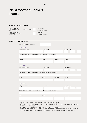## **Section 2 - Type of Trustees**

*Type of trustee to the trust (select only ONE of the following trustee types and provide the information requested).*

Type of Trustee Individual(s)

 > Go to Section 2.1. Company > Go to Section 3.

## **Section 2.1 - Trustee Details**

| How many trustees are there?                                         |              |          |                          |                          |
|----------------------------------------------------------------------|--------------|----------|--------------------------|--------------------------|
| <b>TRUSTEE 1</b>                                                     |              |          |                          |                          |
| Full given name(s)                                                   | Surname      |          | Date of birth            |                          |
|                                                                      |              |          | Τ                        | $\overline{ }$           |
| Residential address of individual trustee (PO Box is NOT acceptable) |              |          |                          |                          |
|                                                                      |              |          |                          |                          |
| Suburb                                                               | State        | Postcode | Country                  |                          |
|                                                                      |              |          |                          |                          |
|                                                                      |              |          |                          |                          |
| <b>TRUSTEE 2</b>                                                     |              |          |                          |                          |
| Full given name(s)                                                   | Surname      |          | Date of birth            |                          |
|                                                                      |              |          | $\overline{ }$           | $\overline{\phantom{a}}$ |
| Residential address of individual trustee (PO Box is NOT acceptable) |              |          |                          |                          |
|                                                                      |              |          |                          |                          |
| Suburb                                                               | State        | Postcode | Country                  |                          |
|                                                                      |              |          |                          |                          |
|                                                                      |              |          |                          |                          |
| <b>TRUSTEE 3</b>                                                     |              |          |                          |                          |
| Full given name(s)                                                   | Surname      |          | Date of birth            |                          |
|                                                                      |              |          | $\overline{\phantom{a}}$ | $\overline{ }$           |
| Residential address of individual trustee (PO Box is NOT acceptable) |              |          |                          |                          |
|                                                                      |              |          |                          |                          |
| Suburb                                                               | <b>State</b> | Postcode | Country                  |                          |
|                                                                      |              |          |                          |                          |
|                                                                      |              |          |                          |                          |

- Regulated trust with a company as trustee - go to Section 3 on page 23.

- Regulated trust with individual trustee(s) - this Identification Form is now complete. Please proceed to the Tax Information Form on page 25.

- Unregulated trust with a company as trustee go to Section 3 on page 23.
- Unregulated trust with individual trustee(s) this Identification Form is now complete. Please proceed to the Verification Requirements on page 25 and complete the Tax Status Declaration form on page 27.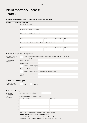#### **Section 3 Company details (to be completed if trustee is a company)**

#### **Section 3.1 - General information**

| Full registered name                                            |              |          |         |
|-----------------------------------------------------------------|--------------|----------|---------|
|                                                                 |              |          |         |
| ACN or other registration number                                |              |          |         |
|                                                                 |              |          |         |
| Registered office address (Not a PO Box)                        |              |          |         |
|                                                                 |              |          |         |
| Suburb                                                          | <b>State</b> | Postcode | Country |
|                                                                 |              |          |         |
| Principal place of business (if any) (PO Box is NOT acceptable) |              |          |         |
|                                                                 |              |          |         |
| Suburb                                                          | <b>State</b> | Postcode | Country |
|                                                                 |              |          |         |
|                                                                 |              |          |         |

## **Section 3.2 - Regulatory/Listing Details**

| Select any categories |
|-----------------------|
| which apply to the    |
| company and provide   |
| the information       |
| requested.            |

Regulated company (licensed by an Australian Commonwealth, State or Territory statutory regulator) Regulator name

Licence details

Australian listed company

Name of market/exchange

Majority-owned subsidiary of an Australian listed company

Australian listed company name

## **Section 3.3 - Company type**

*Select ONE of the following categories.*

Public Proprietary

## *Only needs to be completed for proprietary companies.* How many directors are there? Provide full name of each director below Full given name(s) Surname If there are more directors, provide details on a separate sheet. 1. 2. 3. 4. **Section 3.4 - Directors**

#### **IMPORTANT:** This Identification Form is now complete.

- Unregulated trusts with a Company trustee - continue to Section 3.5.

- Regulated trusts - proceed to the Tax Status Information Form on page 27.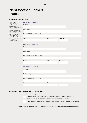#### **Section 3.5 - Company details**

*Please provide the details for the individual(s) who ultimately own more than 25% of the company. If a beneficial owner is a company. If there aren't any, provide the names of the individual(s) who directly or indirectly 'control' the company. This Section is not required for companies that marked a box in Section 3.2.*

|  |  | <b>BENEFICIAL OWNER</b> |
|--|--|-------------------------|

| <b>BENEFICIAL OWNER 1</b>          |       |          |
|------------------------------------|-------|----------|
| Surname                            |       |          |
|                                    |       |          |
| First Name(s)                      |       |          |
|                                    |       |          |
| Residential address (Not a PO Box) |       |          |
|                                    |       |          |
| Suburb                             | State | Postcode |
|                                    |       |          |
|                                    |       |          |
| <b>BENEFICIAL OWNER 2</b>          |       |          |
| Surname                            |       |          |
|                                    |       |          |
| First Name(s)                      |       |          |
|                                    |       |          |
| Residential address (Not a PO Box) |       |          |
|                                    |       |          |
| Suburb                             | State | Postcode |
|                                    |       |          |
| <b>BENEFICIAL OWNER 3</b>          |       |          |
| Surname                            |       |          |
|                                    |       |          |
| First Name(s)                      |       |          |
|                                    |       |          |
| Residential address (Not a PO Box) |       |          |
|                                    |       |          |
| Suburb                             | State | Postcode |
|                                    |       |          |
|                                    |       |          |

## **Section 3.6 – Acceptable Company ID Documents**

Attach a certified copy of:

The driver's licence OR passport for each beneficial owner completed in Section 3.5. See Section 4.2 for acceptable alternative ID options for individual trustees.

A **copy** of the ASIC extract of the company OR a certified copy of the Certificate of Registration.

**IMPORTANT:** This Identification Form is now complete. Please proceed to the Tax Status Declaration Form on page 27.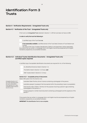#### **Section 4 - Verification Requirements - Unregulated Trusts only**

#### **Section 4.1 - Verification of the Trust - Unregulated Trusts only**

If the trust is an Unregulated Trust selected in Section 1.1, OR the trust does not have an ABN:

25

#### **In order to verify the trust the following is**

A certified copy of the Trust Deed **or;**

**If not reasonably available** a certified extract of the Trust Deed. Extracts of Trust Deeds must include

the name of the Trust, Trustees, Beneficiaries, Settlor/s and Appointers (where applicable). Documents that are written in a language that is not English must be accompanied by an English translation prepared by an accredited translator.

## **Section 4.2 - Individual Trustee Identification Documents – Unregulated Trusts only (certified copies required)**

A certified copy of acceptable identification documents are required for ALL of the following:

ALL Beneficial Owner(s) listed in Section 1.3;

The Settlor listed in Section 1.3 (if any); **and**

ONE Trustee listed in Section 2.1 (if any)

#### **Section 4.2.1 – Acceptable primary ID documents**

Select ONE option from this Section only

*Complete Section 4.2.1 (or if the individual does not own a document from Section 4.2.1, then complete either Section 4.2.2 or 4.2,3).*

Australian State/Territory driver's licence containing a photograph of the person;

Australian passport (a passport that has expired within the preceding 2 years is acceptable);

Card issued under a State or Territory for the purpose of proving a person's age containing a photograph of the person; or

Foreign passport or similar travel document containing a photograph and the signature of the person.\*

**\*** Documents that are written in a language that is not English must be accompanied by an English translation prepared by an accredited translator.

**IMPORTANT:** This Identification Form is now complete.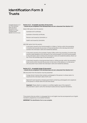*Complete Section 4.2.1 (or if the individual does not own a document from Section 4.2.1, then complete either Section 4.2.2 or 4.2,3).*

#### **Section 4.2.2 – Acceptable secondary ID documents – should only be completed if the individual does not own a document from Section 4.2.1**

Select ONE option from this section

Australian birth certificate;

Australian citizenship certificate;

Pension card issued by Centrelink; or

Health card issued by Centrelink.

AND ONE option from this section

A document issued by the Commonwealth or a State or Territory within the preceding 12 months that records the provision of financial benefits to the individual and which contains the individual's name and residential address;

A document issued by the Australian Taxation Office within the preceding 12 months that records a debt payable by the individual to the Commonwealth (or by the Commonwealth to the individual), which contains the individual's name and residential address. Block out the TFN on the certified copy of this document; or

A document issued by a local government body or utilities provider within the preceding three months which records the provision of services to that address or to that person (the document must contain the individual's name and residential address).

#### **Section 4.2.3 – Acceptable foreign ID documents\* – should only be completed if the individual does not own a document from Section 4.2.1**

ONE document from this Section must be presented

Foreign driver's licence that contains a photograph of the person in whose name it is issued and the individual's date of birth; and

National ID card issued by a foreign government containing a photograph and a signature of the person in whose name the card was issued.

**Important:** Please attach an original or a certified, legible copy of the original ID documentation used to verify the individual trustee (and any required translation).

**\*** Documents that are written in a language that is not English must be accompanied by an English translation prepared by an accredited translator.

**IMPORTANT:** This Identification Form is now complete.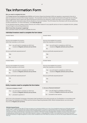# Tax Information Form

#### Why you need to complete this form.

The *Foreign Account Tax Compliance Act* (*FATCA*) and Common Reporting Standard (CRS) are regulatory requirements that aim to deter tax evasion by US and other foreign taxpayers. The Australian and many other foreign Governments (through their tax offices) have an agreement which means that reporting financial institutions are required to collect and report to the Australian Taxation Office (ATO) certain information about the tax residency of account holders. The ATO shares this information with the tax authorities of other jurisdictions. For more information, visit www.ato.gov.au

For any general enquiries, please contact Centuria Life Limited, however for any specific advice on how to complete the form, please consult a legal or accounting professional.

#### What if more than one person is applying?

Each individual investor will need to complete this form.

#### **Individual investors need to complete the form below**

| <b>Investor Name</b>                                                                                    | <b>Investor Name</b>                                                                                    |  |  |  |  |
|---------------------------------------------------------------------------------------------------------|---------------------------------------------------------------------------------------------------------|--|--|--|--|
|                                                                                                         |                                                                                                         |  |  |  |  |
| Are you a tax resident of a country<br>other than Australia or a US citizen                             | Are you a tax resident of a country<br>other than Australia or a US citizen                             |  |  |  |  |
| Yes - you will need to complete an AEOI form<br>located at lifegoals.centuria.com.au/forms<br><b>No</b> | Yes - you will need to complete an AEOI form<br>located at lifegoals.centuria.com.au/forms<br><b>No</b> |  |  |  |  |
| Are you a politically exposed person?                                                                   | Are you a politically exposed person?                                                                   |  |  |  |  |
| Yes                                                                                                     | Yes                                                                                                     |  |  |  |  |
| <b>No</b>                                                                                               | <b>No</b>                                                                                               |  |  |  |  |
| <b>Investor Name</b>                                                                                    | <b>Investor Name</b>                                                                                    |  |  |  |  |
|                                                                                                         |                                                                                                         |  |  |  |  |
| Are you a tax resident of a country<br>other than Australia or a US citizen                             | Are you a tax resident of a country<br>other than Australia or a US citizen                             |  |  |  |  |
| Yes - you will need to complete an AEOI form                                                            | Yes - you will need to complete an AEOI form                                                            |  |  |  |  |
| located at lifegoals.centuria.com.au/forms<br><b>No</b>                                                 | located at lifegoals.centuria.com.au/forms<br><b>No</b>                                                 |  |  |  |  |
| Are you a politically exposed person?                                                                   | Are you a politically exposed person?                                                                   |  |  |  |  |
| <b>Yes</b>                                                                                              | Yes                                                                                                     |  |  |  |  |
| <b>No</b>                                                                                               | <b>No</b>                                                                                               |  |  |  |  |
| Entity investors need to complete the form below                                                        |                                                                                                         |  |  |  |  |

#### Yes — you will need to complete an AEOI form located at lifegoals.centuria.com.au/forms Yes — you will need to complete an AEOI form located at lifegoals.centuria.com.au/forms No – proceed to question 2 No – proceed to next section 1. Are you a company or trust? 2. Are you a financial institution?

AEOI Form is the Automatic Exchange of Information Self Certification Form which records your Tax Residency in accordance with the Foreign Tax Compliance Act (FATCA) and the Common Reporting Standard (CRS). Where indicated above, you can access this form at lifegoals.com.au/forms.

#### **Politically Exposed Persons**

To assist us with complying with AML/CTF laws we require you to disclose whether you (or any of your beneficial owners) are a Politically Exposed Person ('PEP'). A PEP is an individual who holds a prominent public position or function in a government body or an international organisation in Australia or overseas. This definition also extends to their immediate family members and close associates. Examples include a Head of State, Country or Government, a Government Minister, or equivalent senior politician. A PEP also includes immediate family members of a person referred to above, including spouse, de facto partner, child, and a child's spouse or a parent. A close associate of a PEP, i.e. any individual who is known to have joint beneficial ownership of a legal arrangement or entity is also considered to be a PEP. Where you identify as a PEP, we may request additional information from you.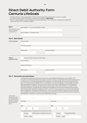# Direct Debit Authority Form Centuria LifeGoals

- Complete the form in pen using BLOCK LETTERS and mark appropriate answers with a cross X or number.
- Any queries please contact the Centuria Investor Services team on **1800 182 257**.
- This for is only available for initial investments less than \$500,000. If your investment is greater than \$500,000 please use BPAY or EFT available on page 2.

| Part 1                                                           | Bond Number - if you are an existing investor |  |                       |  |  |
|------------------------------------------------------------------|-----------------------------------------------|--|-----------------------|--|--|
| These details are found<br>on your investment<br>correspondence. |                                               |  |                       |  |  |
|                                                                  | Account Name / Investment Entity              |  |                       |  |  |
| <b>Part 2 - Bank Details</b>                                     |                                               |  |                       |  |  |
| Initial Investment                                               | <b>Account Name</b>                           |  |                       |  |  |
|                                                                  |                                               |  |                       |  |  |
|                                                                  | Financial Institution                         |  |                       |  |  |
|                                                                  |                                               |  |                       |  |  |
|                                                                  | <b>BSB Number</b>                             |  | <b>Account Number</b> |  |  |
|                                                                  |                                               |  |                       |  |  |
| Regular<br><b>Investment Plan</b>                                | Same as Initial Investment Direct Debit       |  |                       |  |  |
|                                                                  | <b>Account Name</b>                           |  |                       |  |  |
|                                                                  | Financial Institution                         |  |                       |  |  |
|                                                                  |                                               |  |                       |  |  |
|                                                                  | <b>BSB Number</b>                             |  | <b>Account Number</b> |  |  |
|                                                                  |                                               |  |                       |  |  |

#### **Part 3 - Declaration and authorisation**

The Applicant requests and authorises Centuria Life Limited ABN 79 087 649 054 AFSL 230 867 ('CLL') through its own financial institution and registry provider, for funds to be debited from the nominated account for any amount CLL has deemed payable by the Applicant. This debit charge will be made through the Bulk Electronic Clearing System (BECS) from the nominated account and the Applicant acknowledges this direct debit arrangement is subject to the terms and conditions of the Direct Debit Request Service Agreement outlined on page 55 of the PDS. By signing and/or providing CLL with a valid instruction in respect to this Direct Debit Request, the Applicant has understood and agreed to the terms and conditions governing the debit arrangements between the Applicant and CLL as set out in this request and in the Direct Debit Request Service Agreement. The Applicant authorises CLL to act in accordance with the Applicant's instructions and acknowledges that these instructions supersede and have priority over all previous instructions in respect to the Applicant's Investment. All bank account signatories must sign.

| All authorised<br>signatories to sign. If<br>any to sign is ticked,<br>this will authorise any<br>signatory to operate<br>the account in the<br>future. | Signature A      |                                                             | Signature B |                 |       |                          |  |
|---------------------------------------------------------------------------------------------------------------------------------------------------------|------------------|-------------------------------------------------------------|-------------|-----------------|-------|--------------------------|--|
|                                                                                                                                                         | Full name        |                                                             | Full name   |                 |       |                          |  |
|                                                                                                                                                         |                  |                                                             |             |                 |       |                          |  |
|                                                                                                                                                         | Date             |                                                             | Date        |                 |       |                          |  |
|                                                                                                                                                         |                  |                                                             |             |                 |       |                          |  |
|                                                                                                                                                         |                  | If a company officer or trustee you must specify your title |             |                 |       |                          |  |
|                                                                                                                                                         | <b>Director</b>  | Sole Director & Company Secretary                           |             | <b>Director</b> |       | <b>Company Secretary</b> |  |
|                                                                                                                                                         | Other<br>Trustee |                                                             |             | Trustee         | Other |                          |  |